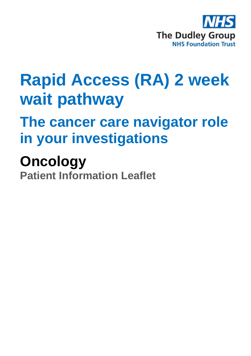

# **Rapid Access (RA) 2 week wait pathway**

# **The cancer care navigator role in your investigations**

# **Oncology**

**Patient Information Leaflet**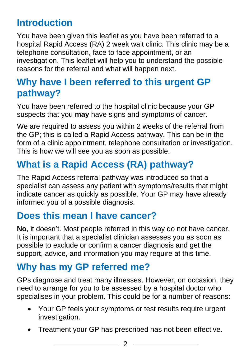# **Introduction**

You have been given this leaflet as you have been referred to a hospital Rapid Access (RA) 2 week wait clinic. This clinic may be a telephone consultation, face to face appointment, or an investigation. This leaflet will help you to understand the possible reasons for the referral and what will happen next.

# **Why have I been referred to this urgent GP pathway?**

You have been referred to the hospital clinic because your GP suspects that you **may** have signs and symptoms of cancer.

We are required to assess you within 2 weeks of the referral from the GP; this is called a Rapid Access pathway. This can be in the form of a clinic appointment, telephone consultation or investigation. This is how we will see you as soon as possible.

# **What is a Rapid Access (RA) pathway?**

The Rapid Access referral pathway was introduced so that a specialist can assess any patient with symptoms/results that might indicate cancer as quickly as possible. Your GP may have already informed you of a possible diagnosis.

# **Does this mean I have cancer?**

**No**, it doesn't. Most people referred in this way do not have cancer. It is important that a specialist clinician assesses you as soon as possible to exclude or confirm a cancer diagnosis and get the support, advice, and information you may require at this time.

# **Why has my GP referred me?**

GPs diagnose and treat many illnesses. However, on occasion, they need to arrange for you to be assessed by a hospital doctor who specialises in your problem. This could be for a number of reasons:

- Your GP feels your symptoms or test results require urgent investigation.
- Treatment your GP has prescribed has not been effective.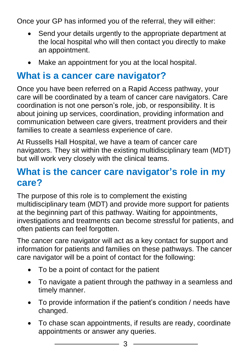Once your GP has informed you of the referral, they will either:

- Send your details urgently to the appropriate department at the local hospital who will then contact you directly to make an appointment.
- Make an appointment for you at the local hospital.

#### **What is a cancer care navigator?**

Once you have been referred on a Rapid Access pathway, your care will be coordinated by a team of cancer care navigators. Care coordination is not one person's role, job, or responsibility. It is about joining up services, coordination, providing information and communication between care givers, treatment providers and their families to create a seamless experience of care.

At Russells Hall Hospital, we have a team of cancer care navigators. They sit within the existing multidisciplinary team (MDT) but will work very closely with the clinical teams.

### **What is the cancer care navigator's role in my care?**

The purpose of this role is to complement the existing multidisciplinary team (MDT) and provide more support for patients at the beginning part of this pathway. Waiting for appointments, investigations and treatments can become stressful for patients, and often patients can feel forgotten.

The cancer care navigator will act as a key contact for support and information for patients and families on these pathways. The cancer care navigator will be a point of contact for the following:

- To be a point of contact for the patient
- To navigate a patient through the pathway in a seamless and timely manner.
- To provide information if the patient's condition / needs have changed.
- To chase scan appointments, if results are ready, coordinate appointments or answer any queries.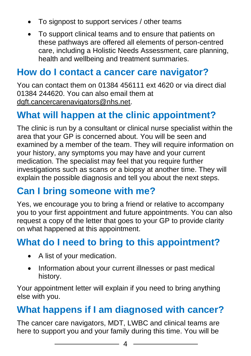- To signpost to support services / other teams
- To support clinical teams and to ensure that patients on these pathways are offered all elements of person-centred care, including a Holistic Needs Assessment, care planning, health and wellbeing and treatment summaries.

#### **How do I contact a cancer care navigator?**

You can contact them on 01384 456111 ext 4620 or via direct dial 01384 244620. You can also email them at [dgft.cancercarenavigators@nhs.net.](mailto:dgft.cancercarenavigators@nhs.net)

# **What will happen at the clinic appointment?**

The clinic is run by a consultant or clinical nurse specialist within the area that your GP is concerned about. You will be seen and examined by a member of the team. They will require information on your history, any symptoms you may have and your current medication. The specialist may feel that you require further investigations such as scans or a biopsy at another time. They will explain the possible diagnosis and tell you about the next steps.

### **Can I bring someone with me?**

Yes, we encourage you to bring a friend or relative to accompany you to your first appointment and future appointments. You can also request a copy of the letter that goes to your GP to provide clarity on what happened at this appointment.

# **What do I need to bring to this appointment?**

- A list of your medication.
- Information about your current illnesses or past medical history.

Your appointment letter will explain if you need to bring anything else with you.

### **What happens if I am diagnosed with cancer?**

The cancer care navigators, MDT, LWBC and clinical teams are here to support you and your family during this time. You will be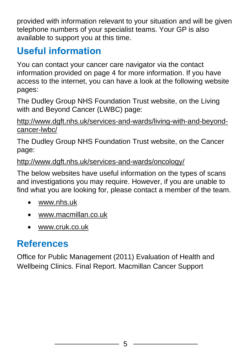provided with information relevant to your situation and will be given telephone numbers of your specialist teams. Your GP is also available to support you at this time.

# **Useful information**

You can contact your cancer care navigator via the contact information provided on page 4 for more information. If you have access to the internet, you can have a look at the following website pages:

The Dudley Group NHS Foundation Trust website, on the Living with and Beyond Cancer (LWBC) page:

[http://www.dgft.nhs.uk/services-and-wards/living-with-and-beyond](http://www.dgft.nhs.uk/services-and-wards/living-with-and-beyond-cancer-lwbc/)[cancer-lwbc/](http://www.dgft.nhs.uk/services-and-wards/living-with-and-beyond-cancer-lwbc/) 

The Dudley Group NHS Foundation Trust website, on the Cancer page:

#### <http://www.dgft.nhs.uk/services-and-wards/oncology/>

The below websites have useful information on the types of scans and investigations you may require. However, if you are unable to find what you are looking for, please contact a member of the team.

- [www.nhs.uk](http://www.nhs.uk/)
- [www.macmillan.co.uk](http://www.macmillan.co.uk/)
- www.cruk.co.uk

# **References**

Office for Public Management (2011) Evaluation of Health and Wellbeing Clinics. Final Report. Macmillan Cancer Support